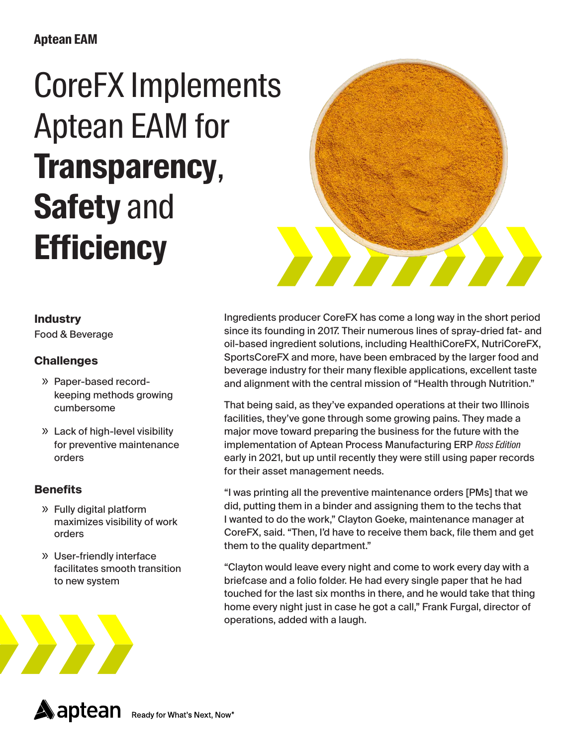## **Aptean EAM**

# CoreFX Implements Aptean EAM for **Transparency**, **Safety** and **Efficiency**



#### **Industry**

Food & Beverage

### **Challenges**

- » Paper-based recordkeeping methods growing cumbersome
- » Lack of high-level visibility for preventive maintenance orders

#### **Benefits**

- » Fully digital platform maximizes visibility of work orders
- » User-friendly interface facilitates smooth transition to new system



Ingredients producer CoreFX has come a long way in the short period since its founding in 2017. Their numerous lines of spray-dried fat- and oil-based ingredient solutions, including HealthiCoreFX, NutriCoreFX, SportsCoreFX and more, have been embraced by the larger food and beverage industry for their many flexible applications, excellent taste and alignment with the central mission of "Health through Nutrition."

That being said, as they've expanded operations at their two Illinois facilities, they've gone through some growing pains. They made a major move toward preparing the business for the future with the implementation of Aptean Process Manufacturing ERP *Ross Edition* early in 2021, but up until recently they were still using paper records for their asset management needs.

"I was printing all the preventive maintenance orders [PMs] that we did, putting them in a binder and assigning them to the techs that I wanted to do the work," Clayton Goeke, maintenance manager at CoreFX, said. "Then, I'd have to receive them back, file them and get them to the quality department."

"Clayton would leave every night and come to work every day with a briefcase and a folio folder. He had every single paper that he had touched for the last six months in there, and he would take that thing home every night just in case he got a call," Frank Furgal, director of operations, added with a laugh.

**A**aptean Ready for What's Next, Now<sup>®</sup>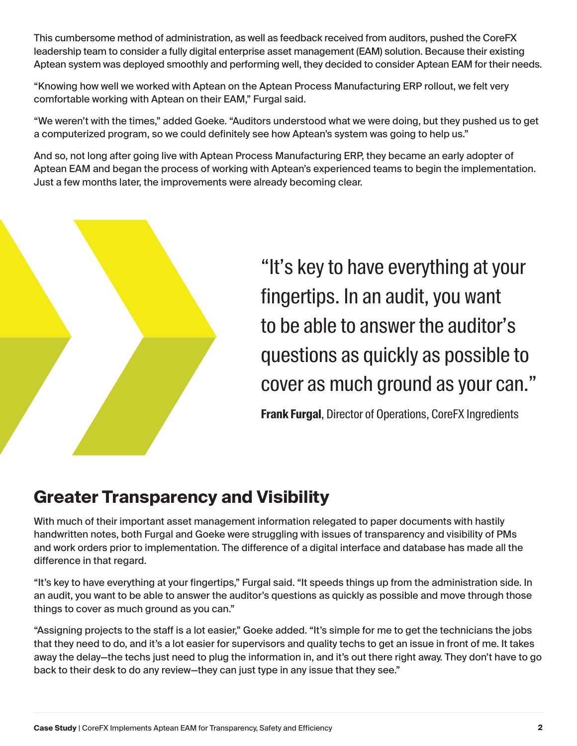This cumbersome method of administration, as well as feedback received from auditors, pushed the CoreFX leadership team to consider a fully digital enterprise asset management (EAM) solution. Because their existing Aptean system was deployed smoothly and performing well, they decided to consider Aptean EAM for their needs.

"Knowing how well we worked with Aptean on the Aptean Process Manufacturing ERP rollout, we felt very comfortable working with Aptean on their EAM," Furgal said.

"We weren't with the times," added Goeke. "Auditors understood what we were doing, but they pushed us to get a computerized program, so we could definitely see how Aptean's system was going to help us."

And so, not long after going live with Aptean Process Manufacturing ERP, they became an early adopter of Aptean EAM and began the process of working with Aptean's experienced teams to begin the implementation. Just a few months later, the improvements were already becoming clear.



"It's key to have everything at your fingertips. In an audit, you want to be able to answer the auditor's questions as quickly as possible to cover as much ground as your can."

**Frank Furgal**, Director of Operations, CoreFX Ingredients

## **Greater Transparency and Visibility**

With much of their important asset management information relegated to paper documents with hastily handwritten notes, both Furgal and Goeke were struggling with issues of transparency and visibility of PMs and work orders prior to implementation. The difference of a digital interface and database has made all the difference in that regard.

"It's key to have everything at your fingertips," Furgal said. "It speeds things up from the administration side. In an audit, you want to be able to answer the auditor's questions as quickly as possible and move through those things to cover as much ground as you can."

"Assigning projects to the staff is a lot easier," Goeke added. "It's simple for me to get the technicians the jobs that they need to do, and it's a lot easier for supervisors and quality techs to get an issue in front of me. It takes away the delay—the techs just need to plug the information in, and it's out there right away. They don't have to go back to their desk to do any review—they can just type in any issue that they see."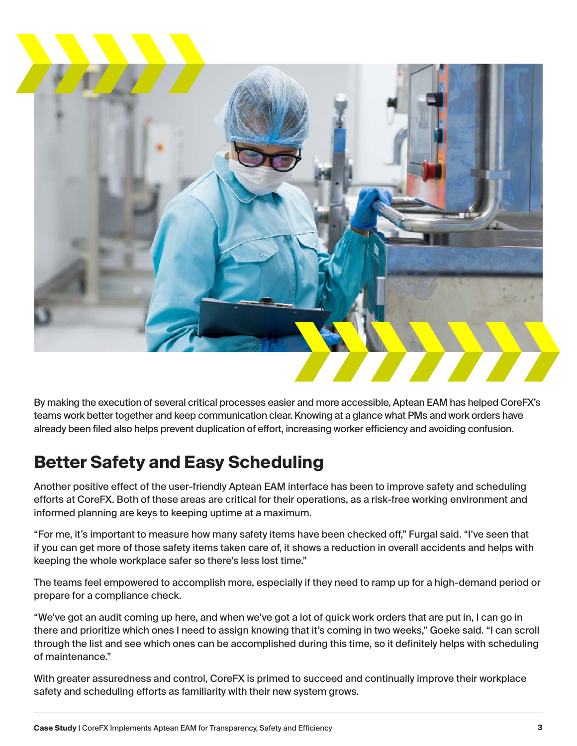

By making the execution of several critical processes easier and more accessible, Aptean EAM has helped CoreFX's teams work better together and keep communication clear. Knowing at a glance what PMs and work orders have already been filed also helps prevent duplication of effort, increasing worker efficiency and avoiding confusion.

## **Better Safety and Easy Scheduling**

Another positive effect of the user-friendly Aptean EAM interface has been to improve safety and scheduling efforts at CoreFX. Both of these areas are critical for their operations, as a risk-free working environment and informed planning are keys to keeping uptime at a maximum.

"For me, it's important to measure how many safety items have been checked off," Furgal said. "I've seen that if you can get more of those safety items taken care of, it shows a reduction in overall accidents and helps with keeping the whole workplace safer so there's less lost time."

The teams feel empowered to accomplish more, especially if they need to ramp up for a high-demand period or prepare for a compliance check.

"We've got an audit coming up here, and when we've got a lot of quick work orders that are put in, I can go in there and prioritize which ones I need to assign knowing that it's coming in two weeks," Goeke said. "I can scroll through the list and see which ones can be accomplished during this time, so it definitely helps with scheduling of maintenance."

With greater assuredness and control, CoreFX is primed to succeed and continually improve their workplace safety and scheduling efforts as familiarity with their new system grows.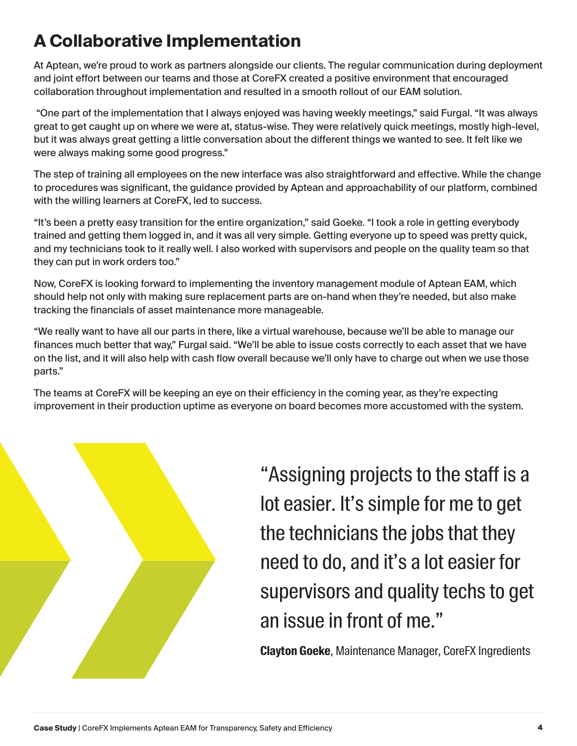## **A Collaborative Implementation**

At Aptean, we're proud to work as partners alongside our clients. The regular communication during deployment and joint effort between our teams and those at CoreFX created a positive environment that encouraged collaboration throughout implementation and resulted in a smooth rollout of our EAM solution.

 "One part of the implementation that I always enjoyed was having weekly meetings," said Furgal. "It was always great to get caught up on where we were at, status-wise. They were relatively quick meetings, mostly high-level, but it was always great getting a little conversation about the different things we wanted to see. It felt like we were always making some good progress."

The step of training all employees on the new interface was also straightforward and effective. While the change to procedures was significant, the guidance provided by Aptean and approachability of our platform, combined with the willing learners at CoreFX, led to success.

"It's been a pretty easy transition for the entire organization," said Goeke. "I took a role in getting everybody trained and getting them logged in, and it was all very simple. Getting everyone up to speed was pretty quick, and my technicians took to it really well. I also worked with supervisors and people on the quality team so that they can put in work orders too."

Now, CoreFX is looking forward to implementing the inventory management module of Aptean EAM, which should help not only with making sure replacement parts are on-hand when they're needed, but also make tracking the financials of asset maintenance more manageable.

"We really want to have all our parts in there, like a virtual warehouse, because we'll be able to manage our finances much better that way," Furgal said. "We'll be able to issue costs correctly to each asset that we have on the list, and it will also help with cash flow overall because we'll only have to charge out when we use those parts."

The teams at CoreFX will be keeping an eye on their efficiency in the coming year, as they're expecting improvement in their production uptime as everyone on board becomes more accustomed with the system.



"Assigning projects to the staff is a lot easier. It's simple for me to get the technicians the jobs that they need to do, and it's a lot easier for supervisors and quality techs to get an issue in front of me."

**Clayton Goeke**, Maintenance Manager, CoreFX Ingredients